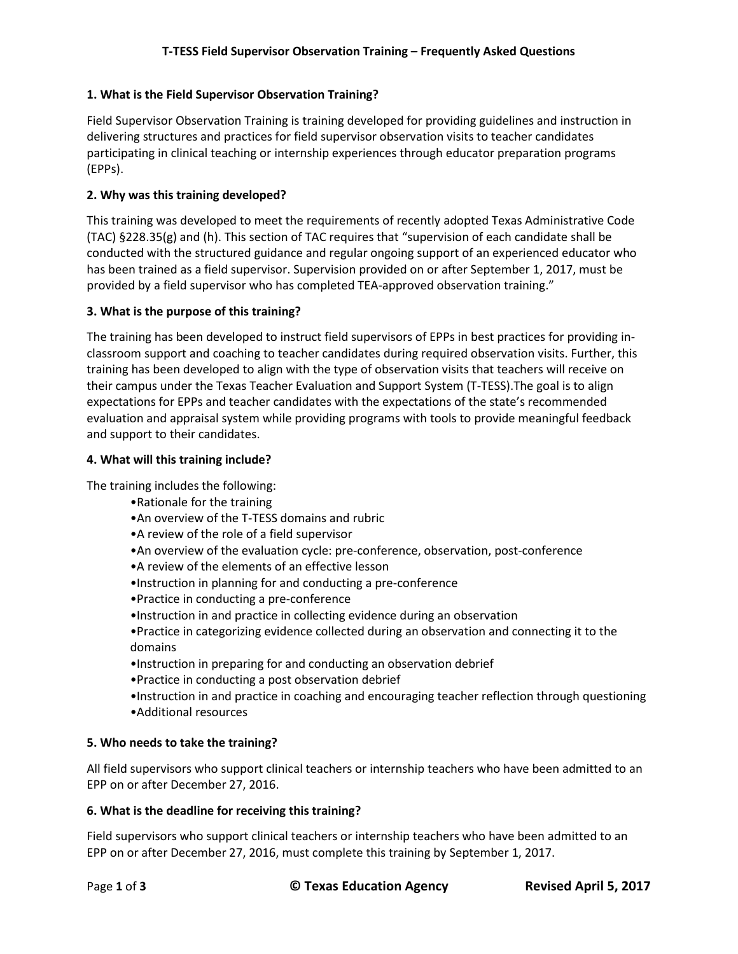# **1. What is the Field Supervisor Observation Training?**

Field Supervisor Observation Training is training developed for providing guidelines and instruction in delivering structures and practices for field supervisor observation visits to teacher candidates participating in clinical teaching or internship experiences through educator preparation programs (EPPs).

## **2. Why was this training developed?**

This training was developed to meet the requirements of recently adopted Texas Administrative Code (TAC) §228.35(g) and (h). This section of TAC requires that "supervision of each candidate shall be conducted with the structured guidance and regular ongoing support of an experienced educator who has been trained as a field supervisor. Supervision provided on or after September 1, 2017, must be provided by a field supervisor who has completed TEA-approved observation training."

#### **3. What is the purpose of this training?**

The training has been developed to instruct field supervisors of EPPs in best practices for providing inclassroom support and coaching to teacher candidates during required observation visits. Further, this training has been developed to align with the type of observation visits that teachers will receive on their campus under the Texas Teacher Evaluation and Support System (T-TESS).The goal is to align expectations for EPPs and teacher candidates with the expectations of the state's recommended evaluation and appraisal system while providing programs with tools to provide meaningful feedback and support to their candidates.

#### **4. What will this training include?**

The training includes the following:

- •Rationale for the training
- •An overview of the T-TESS domains and rubric
- •A review of the role of a field supervisor
- •An overview of the evaluation cycle: pre-conference, observation, post-conference
- •A review of the elements of an effective lesson
- •Instruction in planning for and conducting a pre-conference
- •Practice in conducting a pre-conference
- •Instruction in and practice in collecting evidence during an observation
- •Practice in categorizing evidence collected during an observation and connecting it to the domains
- •Instruction in preparing for and conducting an observation debrief
- •Practice in conducting a post observation debrief
- •Instruction in and practice in coaching and encouraging teacher reflection through questioning
- •Additional resources

#### **5. Who needs to take the training?**

All field supervisors who support clinical teachers or internship teachers who have been admitted to an EPP on or after December 27, 2016.

#### **6. What is the deadline for receiving this training?**

Field supervisors who support clinical teachers or internship teachers who have been admitted to an EPP on or after December 27, 2016, must complete this training by September 1, 2017.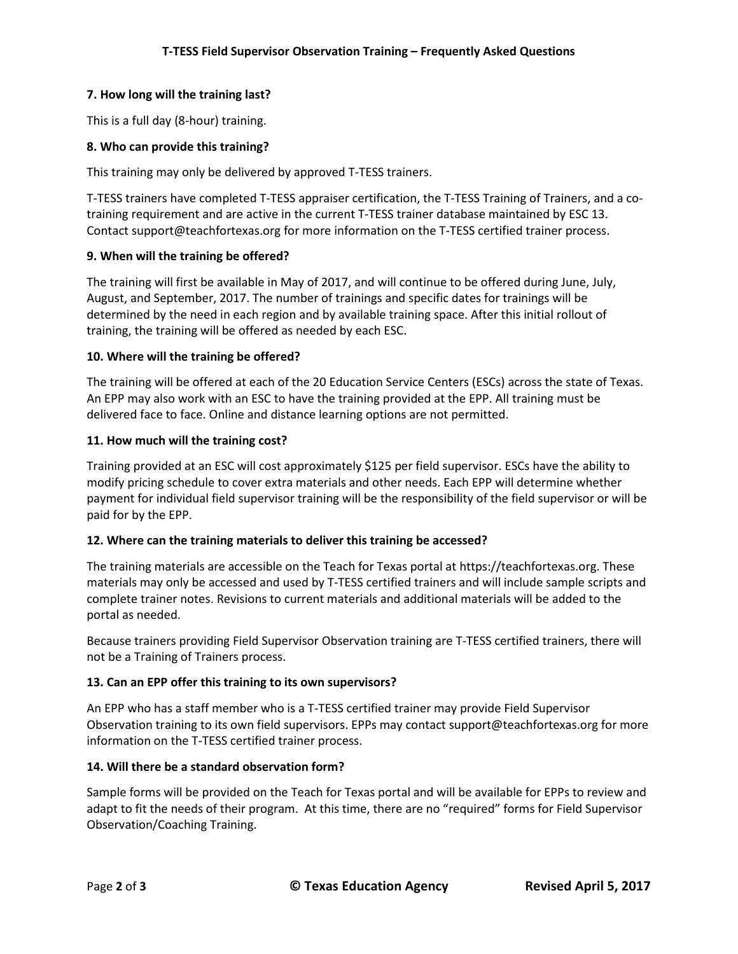# **7. How long will the training last?**

This is a full day (8-hour) training.

## **8. Who can provide this training?**

This training may only be delivered by approved T-TESS trainers.

T-TESS trainers have completed T-TESS appraiser certification, the T-TESS Training of Trainers, and a cotraining requirement and are active in the current T-TESS trainer database maintained by ESC 13. Contact support@teachfortexas.org for more information on the T-TESS certified trainer process.

#### **9. When will the training be offered?**

The training will first be available in May of 2017, and will continue to be offered during June, July, August, and September, 2017. The number of trainings and specific dates for trainings will be determined by the need in each region and by available training space. After this initial rollout of training, the training will be offered as needed by each ESC.

#### **10. Where will the training be offered?**

The training will be offered at each of the 20 Education Service Centers (ESCs) across the state of Texas. An EPP may also work with an ESC to have the training provided at the EPP. All training must be delivered face to face. Online and distance learning options are not permitted.

#### **11. How much will the training cost?**

Training provided at an ESC will cost approximately \$125 per field supervisor. ESCs have the ability to modify pricing schedule to cover extra materials and other needs. Each EPP will determine whether payment for individual field supervisor training will be the responsibility of the field supervisor or will be paid for by the EPP.

#### **12. Where can the training materials to deliver this training be accessed?**

The training materials are accessible on the Teach for Texas portal at https://teachfortexas.org. These materials may only be accessed and used by T-TESS certified trainers and will include sample scripts and complete trainer notes. Revisions to current materials and additional materials will be added to the portal as needed.

Because trainers providing Field Supervisor Observation training are T-TESS certified trainers, there will not be a Training of Trainers process.

# **13. Can an EPP offer this training to its own supervisors?**

An EPP who has a staff member who is a T-TESS certified trainer may provide Field Supervisor Observation training to its own field supervisors. EPPs may contact support@teachfortexas.org for more information on the T-TESS certified trainer process.

#### **14. Will there be a standard observation form?**

Sample forms will be provided on the Teach for Texas portal and will be available for EPPs to review and adapt to fit the needs of their program. At this time, there are no "required" forms for Field Supervisor Observation/Coaching Training.